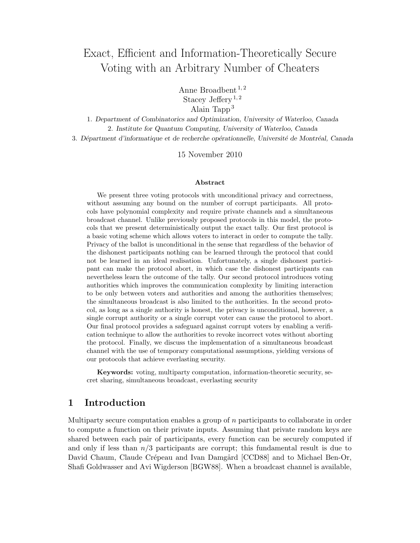# Exact, Efficient and Information-Theoretically Secure Voting with an Arbitrary Number of Cheaters

Anne Broadbent  $^{1,2}$ Stacey Jeffery<sup>1,2</sup> Alain Tapp<sup>3</sup>

1. Department of Combinatorics and Optimization, University of Waterloo, Canada 2. Institute for Quantum Computing, University of Waterloo, Canada 3. Départment d'informatique et de recherche opérationnelle, Université de Montréal, Canada

15 November 2010

#### Abstract

We present three voting protocols with unconditional privacy and correctness, without assuming any bound on the number of corrupt participants. All protocols have polynomial complexity and require private channels and a simultaneous broadcast channel. Unlike previously proposed protocols in this model, the protocols that we present deterministically output the exact tally. Our first protocol is a basic voting scheme which allows voters to interact in order to compute the tally. Privacy of the ballot is unconditional in the sense that regardless of the behavior of the dishonest participants nothing can be learned through the protocol that could not be learned in an ideal realisation. Unfortunately, a single dishonest participant can make the protocol abort, in which case the dishonest participants can nevertheless learn the outcome of the tally. Our second protocol introduces voting authorities which improves the communication complexity by limiting interaction to be only between voters and authorities and among the authorities themselves; the simultaneous broadcast is also limited to the authorities. In the second protocol, as long as a single authority is honest, the privacy is unconditional, however, a single corrupt authority or a single corrupt voter can cause the protocol to abort. Our final protocol provides a safeguard against corrupt voters by enabling a verification technique to allow the authorities to revoke incorrect votes without aborting the protocol. Finally, we discuss the implementation of a simultaneous broadcast channel with the use of temporary computational assumptions, yielding versions of our protocols that achieve everlasting security.

Keywords: voting, multiparty computation, information-theoretic security, secret sharing, simultaneous broadcast, everlasting security

### 1 Introduction

Multiparty secure computation enables a group of n participants to collaborate in order to compute a function on their private inputs. Assuming that private random keys are shared between each pair of participants, every function can be securely computed if and only if less than  $n/3$  participants are corrupt; this fundamental result is due to David Chaum, Claude Crépeau and Ivan Damgård [CCD88] and to Michael Ben-Or, Shafi Goldwasser and Avi Wigderson [BGW88]. When a broadcast channel is available,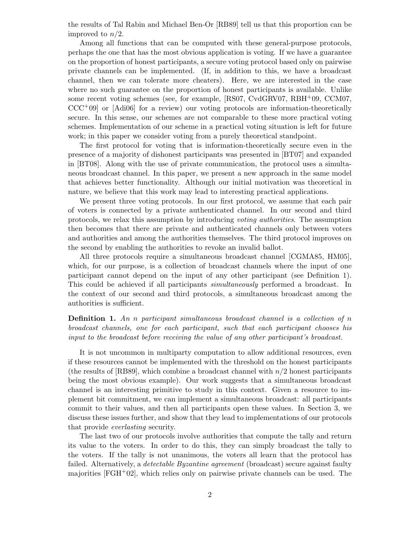the results of Tal Rabin and Michael Ben-Or [RB89] tell us that this proportion can be improved to  $n/2$ .

Among all functions that can be computed with these general-purpose protocols, perhaps the one that has the most obvious application is voting. If we have a guarantee on the proportion of honest participants, a secure voting protocol based only on pairwise private channels can be implemented. (If, in addition to this, we have a broadcast channel, then we can tolerate more cheaters). Here, we are interested in the case where no such guarantee on the proportion of honest participants is available. Unlike some recent voting schemes (see, for example, [RS07, CvdGRV07, RBH<sup>+</sup>09, CCM07,  $CCC^+09$  or [Adi06] for a review) our voting protocols are information-theoretically secure. In this sense, our schemes are not comparable to these more practical voting schemes. Implementation of our scheme in a practical voting situation is left for future work; in this paper we consider voting from a purely theoretical standpoint.

The first protocol for voting that is information-theoretically secure even in the presence of a majority of dishonest participants was presented in [BT07] and expanded in [BT08]. Along with the use of private communication, the protocol uses a simultaneous broadcast channel. In this paper, we present a new approach in the same model that achieves better functionality. Although our initial motivation was theoretical in nature, we believe that this work may lead to interesting practical applications.

We present three voting protocols. In our first protocol, we assume that each pair of voters is connected by a private authenticated channel. In our second and third protocols, we relax this assumption by introducing voting authorities. The assumption then becomes that there are private and authenticated channels only between voters and authorities and among the authorities themselves. The third protocol improves on the second by enabling the authorities to revoke an invalid ballot.

All three protocols require a simultaneous broadcast channel [CGMA85, HM05], which, for our purpose, is a collection of broadcast channels where the input of one participant cannot depend on the input of any other participant (see Definition 1). This could be achieved if all participants simultaneously performed a broadcast. In the context of our second and third protocols, a simultaneous broadcast among the authorities is sufficient.

### **Definition 1.** An n participant simultaneous broadcast channel is a collection of n broadcast channels, one for each participant, such that each participant chooses his input to the broadcast before receiving the value of any other participant's broadcast.

It is not uncommon in multiparty computation to allow additional resources, even if these resources cannot be implemented with the threshold on the honest participants (the results of  $[RB89]$ , which combine a broadcast channel with  $n/2$  honest participants being the most obvious example). Our work suggests that a simultaneous broadcast channel is an interesting primitive to study in this context. Given a resource to implement bit commitment, we can implement a simultaneous broadcast: all participants commit to their values, and then all participants open these values. In Section 3, we discuss these issues further, and show that they lead to implementations of our protocols that provide everlasting security.

The last two of our protocols involve authorities that compute the tally and return its value to the voters. In order to do this, they can simply broadcast the tally to the voters. If the tally is not unanimous, the voters all learn that the protocol has failed. Alternatively, a *detectable Byzantine agreement* (broadcast) secure against faulty majorities  $[FGH^+02]$ , which relies only on pairwise private channels can be used. The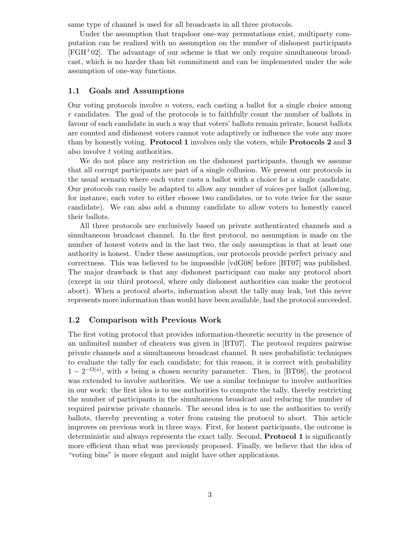same type of channel is used for all broadcasts in all three protocols.

Under the assumption that trapdoor one-way permutations exist, multiparty computation can be realized with no assumption on the number of dishonest participants [FGH+02]. The advantage of our scheme is that we only require simultaneous broadcast, which is no harder than bit commitment and can be implemented under the sole assumption of one-way functions.

#### 1.1 Goals and Assumptions

Our voting protocols involve  $n$  voters, each casting a ballot for a single choice among r candidates. The goal of the protocols is to faithfully count the number of ballots in favour of each candidate in such a way that voters' ballots remain private, honest ballots are counted and dishonest voters cannot vote adaptively or influence the vote any more than by honestly voting. Protocol 1 involves only the voters, while Protocols 2 and 3 also involve t voting authorities.

We do not place any restriction on the dishonest participants, though we assume that all corrupt participants are part of a single collusion. We present our protocols in the usual scenario where each voter casts a ballot with a choice for a single candidate. Our protocols can easily be adapted to allow any number of voices per ballot (allowing, for instance, each voter to either choose two candidates, or to vote twice for the same candidate). We can also add a dummy candidate to allow voters to honestly cancel their ballots.

All three protocols are exclusively based on private authenticated channels and a simultaneous broadcast channel. In the first protocol, no assumption is made on the number of honest voters and in the last two, the only assumption is that at least one authority is honest. Under these assumption, our protocols provide perfect privacy and correctness. This was believed to be impossible [vdG08] before [BT07] was published. The major drawback is that any dishonest participant can make any protocol abort (except in our third protocol, where only dishonest authorities can make the protocol abort). When a protocol aborts, information about the tally may leak, but this never represents more information than would have been available, had the protocol succeeded.

#### 1.2 Comparison with Previous Work

The first voting protocol that provides information-theoretic security in the presence of an unlimited number of cheaters was given in [BT07]. The protocol requires pairwise private channels and a simultaneous broadcast channel. It uses probabilistic techniques to evaluate the tally for each candidate; for this reason, it is correct with probability  $1-2^{-\Omega(s)}$ , with s being a chosen security parameter. Then, in [BT08], the protocol was extended to involve authorities. We use a similar technique to involve authorities in our work: the first idea is to use authorities to compute the tally, thereby restricting the number of participants in the simultaneous broadcast and reducing the number of required pairwise private channels. The second idea is to use the authorities to verify ballots, thereby preventing a voter from causing the protocol to abort. This article improves on previous work in three ways. First, for honest participants, the outcome is deterministic and always represents the exact tally. Second, Protocol 1 is significantly more efficient than what was previously proposed. Finally, we believe that the idea of "voting bins" is more elegant and might have other applications.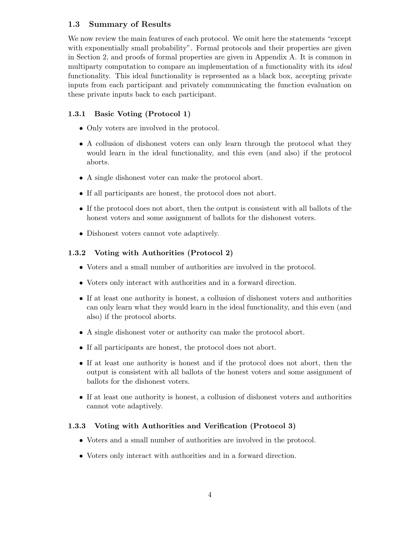### 1.3 Summary of Results

We now review the main features of each protocol. We omit here the statements "except with exponentially small probability". Formal protocols and their properties are given in Section 2, and proofs of formal properties are given in Appendix A. It is common in multiparty computation to compare an implementation of a functionality with its *ideal* functionality. This ideal functionality is represented as a black box, accepting private inputs from each participant and privately communicating the function evaluation on these private inputs back to each participant.

### 1.3.1 Basic Voting (Protocol 1)

- Only voters are involved in the protocol.
- A collusion of dishonest voters can only learn through the protocol what they would learn in the ideal functionality, and this even (and also) if the protocol aborts.
- A single dishonest voter can make the protocol abort.
- If all participants are honest, the protocol does not abort.
- If the protocol does not abort, then the output is consistent with all ballots of the honest voters and some assignment of ballots for the dishonest voters.
- Dishonest voters cannot vote adaptively.

#### 1.3.2 Voting with Authorities (Protocol 2)

- Voters and a small number of authorities are involved in the protocol.
- Voters only interact with authorities and in a forward direction.
- If at least one authority is honest, a collusion of dishonest voters and authorities can only learn what they would learn in the ideal functionality, and this even (and also) if the protocol aborts.
- A single dishonest voter or authority can make the protocol abort.
- If all participants are honest, the protocol does not abort.
- If at least one authority is honest and if the protocol does not abort, then the output is consistent with all ballots of the honest voters and some assignment of ballots for the dishonest voters.
- If at least one authority is honest, a collusion of dishonest voters and authorities cannot vote adaptively.

#### 1.3.3 Voting with Authorities and Verification (Protocol 3)

- Voters and a small number of authorities are involved in the protocol.
- Voters only interact with authorities and in a forward direction.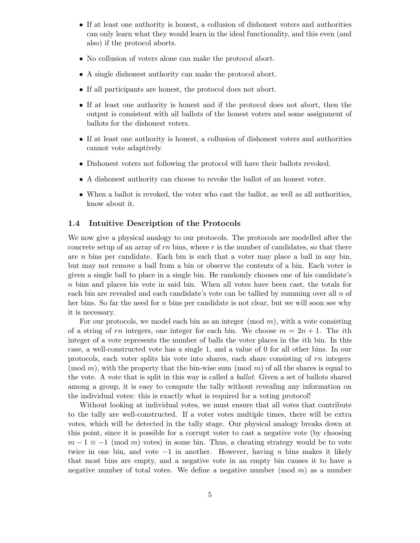- If at least one authority is honest, a collusion of dishonest voters and authorities can only learn what they would learn in the ideal functionality, and this even (and also) if the protocol aborts.
- No collusion of voters alone can make the protocol abort.
- A single dishonest authority can make the protocol abort.
- If all participants are honest, the protocol does not abort.
- If at least one authority is honest and if the protocol does not abort, then the output is consistent with all ballots of the honest voters and some assignment of ballots for the dishonest voters.
- If at least one authority is honest, a collusion of dishonest voters and authorities cannot vote adaptively.
- Dishonest voters not following the protocol will have their ballots revoked.
- A dishonest authority can choose to revoke the ballot of an honest voter.
- When a ballot is revoked, the voter who cast the ballot, as well as all authorities, know about it.

#### 1.4 Intuitive Description of the Protocols

We now give a physical analogy to our protocols. The protocols are modelled after the concrete setup of an array of  $rn$  bins, where  $r$  is the number of candidates, so that there are  $n$  bins per candidate. Each bin is such that a voter may place a ball in any bin, but may not remove a ball from a bin or observe the contents of a bin. Each voter is given a single ball to place in a single bin. He randomly chooses one of his candidate's n bins and places his vote in said bin. When all votes have been cast, the totals for each bin are revealed and each candidate's vote can be tallied by summing over all  $n$  of her bins. So far the need for n bins per candidate is not clear, but we will soon see why it is necessary.

For our protocols, we model each bin as an integer  $(\text{mod } m)$ , with a vote consisting of a string of rn integers, one integer for each bin. We choose  $m = 2n + 1$ . The *i*th integer of a vote represents the number of balls the voter places in the ith bin. In this case, a well-constructed vote has a single 1, and a value of 0 for all other bins. In our protocols, each voter splits his vote into shares, each share consisting of rn integers (mod m), with the property that the bin-wise sum (mod m) of all the shares is equal to the vote. A vote that is split in this way is called a ballot. Given a set of ballots shared among a group, it is easy to compute the tally without revealing any information on the individual votes: this is exactly what is required for a voting protocol!

Without looking at individual votes, we must ensure that all votes that contribute to the tally are well-constructed. If a voter votes multiple times, there will be extra votes, which will be detected in the tally stage. Our physical analogy breaks down at this point, since it is possible for a corrupt voter to cast a negative vote (by choosing  $m-1 \equiv -1 \pmod{m}$  votes) in some bin. Thus, a cheating strategy would be to vote twice in one bin, and vote  $-1$  in another. However, having n bins makes it likely that most bins are empty, and a negative vote in an empty bin causes it to have a negative number of total votes. We define a negative number  $(mod m)$  as a number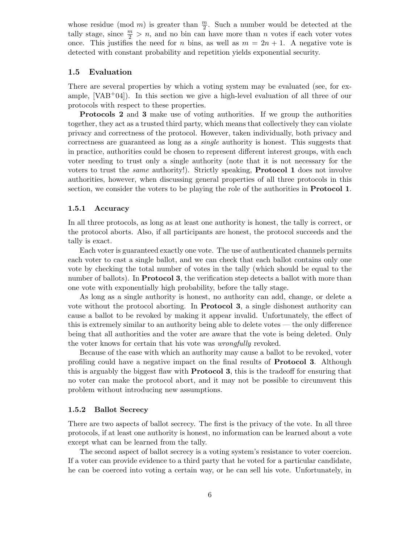whose residue (mod m) is greater than  $\frac{m}{2}$ . Such a number would be detected at the tally stage, since  $\frac{m}{2} > n$ , and no bin can have more than n votes if each voter votes once. This justifies the need for n bins, as well as  $m = 2n + 1$ . A negative vote is detected with constant probability and repetition yields exponential security.

#### 1.5 Evaluation

There are several properties by which a voting system may be evaluated (see, for example,  $[VAB+04]$ . In this section we give a high-level evaluation of all three of our protocols with respect to these properties.

Protocols 2 and 3 make use of voting authorities. If we group the authorities together, they act as a trusted third party, which means that collectively they can violate privacy and correctness of the protocol. However, taken individually, both privacy and correctness are guaranteed as long as a single authority is honest. This suggests that in practice, authorities could be chosen to represent different interest groups, with each voter needing to trust only a single authority (note that it is not necessary for the voters to trust the same authority!). Strictly speaking, Protocol 1 does not involve authorities, however, when discussing general properties of all three protocols in this section, we consider the voters to be playing the role of the authorities in Protocol 1.

#### 1.5.1 Accuracy

In all three protocols, as long as at least one authority is honest, the tally is correct, or the protocol aborts. Also, if all participants are honest, the protocol succeeds and the tally is exact.

Each voter is guaranteed exactly one vote. The use of authenticated channels permits each voter to cast a single ballot, and we can check that each ballot contains only one vote by checking the total number of votes in the tally (which should be equal to the number of ballots). In **Protocol 3**, the verification step detects a ballot with more than one vote with exponentially high probability, before the tally stage.

As long as a single authority is honest, no authority can add, change, or delete a vote without the protocol aborting. In Protocol 3, a single dishonest authority can cause a ballot to be revoked by making it appear invalid. Unfortunately, the effect of this is extremely similar to an authority being able to delete votes — the only difference being that all authorities and the voter are aware that the vote is being deleted. Only the voter knows for certain that his vote was wrongfully revoked.

Because of the ease with which an authority may cause a ballot to be revoked, voter profiling could have a negative impact on the final results of Protocol 3. Although this is arguably the biggest flaw with Protocol 3, this is the tradeoff for ensuring that no voter can make the protocol abort, and it may not be possible to circumvent this problem without introducing new assumptions.

#### 1.5.2 Ballot Secrecy

There are two aspects of ballot secrecy. The first is the privacy of the vote. In all three protocols, if at least one authority is honest, no information can be learned about a vote except what can be learned from the tally.

The second aspect of ballot secrecy is a voting system's resistance to voter coercion. If a voter can provide evidence to a third party that he voted for a particular candidate, he can be coerced into voting a certain way, or he can sell his vote. Unfortunately, in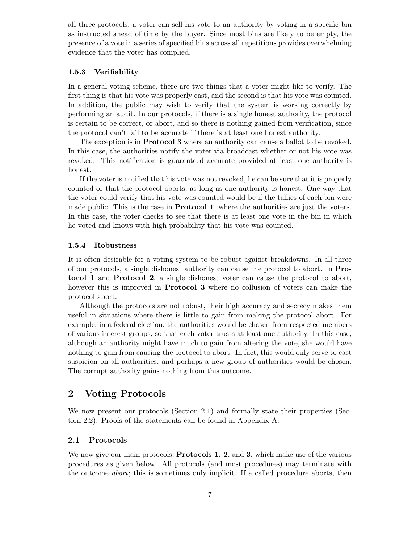all three protocols, a voter can sell his vote to an authority by voting in a specific bin as instructed ahead of time by the buyer. Since most bins are likely to be empty, the presence of a vote in a series of specified bins across all repetitions provides overwhelming evidence that the voter has complied.

#### 1.5.3 Verifiability

In a general voting scheme, there are two things that a voter might like to verify. The first thing is that his vote was properly cast, and the second is that his vote was counted. In addition, the public may wish to verify that the system is working correctly by performing an audit. In our protocols, if there is a single honest authority, the protocol is certain to be correct, or abort, and so there is nothing gained from verification, since the protocol can't fail to be accurate if there is at least one honest authority.

The exception is in Protocol 3 where an authority can cause a ballot to be revoked. In this case, the authorities notify the voter via broadcast whether or not his vote was revoked. This notification is guaranteed accurate provided at least one authority is honest.

If the voter is notified that his vote was not revoked, he can be sure that it is properly counted or that the protocol aborts, as long as one authority is honest. One way that the voter could verify that his vote was counted would be if the tallies of each bin were made public. This is the case in **Protocol 1**, where the authorities are just the voters. In this case, the voter checks to see that there is at least one vote in the bin in which he voted and knows with high probability that his vote was counted.

#### 1.5.4 Robustness

It is often desirable for a voting system to be robust against breakdowns. In all three of our protocols, a single dishonest authority can cause the protocol to abort. In Protocol 1 and Protocol 2, a single dishonest voter can cause the protocol to abort, however this is improved in Protocol 3 where no collusion of voters can make the protocol abort.

Although the protocols are not robust, their high accuracy and secrecy makes them useful in situations where there is little to gain from making the protocol abort. For example, in a federal election, the authorities would be chosen from respected members of various interest groups, so that each voter trusts at least one authority. In this case, although an authority might have much to gain from altering the vote, she would have nothing to gain from causing the protocol to abort. In fact, this would only serve to cast suspicion on all authorities, and perhaps a new group of authorities would be chosen. The corrupt authority gains nothing from this outcome.

### 2 Voting Protocols

We now present our protocols (Section 2.1) and formally state their properties (Section 2.2). Proofs of the statements can be found in Appendix A.

#### 2.1 Protocols

We now give our main protocols, **Protocols 1, 2**, and **3**, which make use of the various procedures as given below. All protocols (and most procedures) may terminate with the outcome abort; this is sometimes only implicit. If a called procedure aborts, then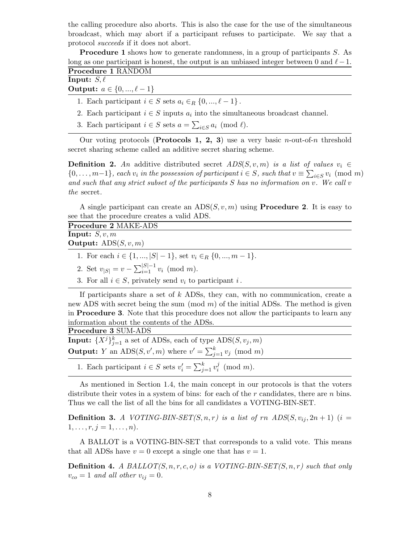the calling procedure also aborts. This is also the case for the use of the simultaneous broadcast, which may abort if a participant refuses to participate. We say that a protocol succeeds if it does not abort.

Procedure 1 shows how to generate randomness, in a group of participants S. As long as one participant is honest, the output is an unbiased integer between 0 and  $\ell-1$ .

|--|

## Input:  $S, \ell$

**Output:**  $a \in \{0, ..., \ell - 1\}$ 

1. Each participant  $i \in S$  sets  $a_i \in_R \{0, ..., \ell - 1\}$ .

- 2. Each participant  $i \in S$  inputs  $a_i$  into the simultaneous broadcast channel.
- 3. Each participant  $i \in S$  sets  $a = \sum_{i \in S} a_i \pmod{\ell}$ .

Our voting protocols (Protocols 1, 2, 3) use a very basic *n*-out-of-*n* threshold secret sharing scheme called an additive secret sharing scheme.

**Definition 2.** An additive distributed secret  $ADS(S, v, m)$  is a list of values  $v_i \in$  $\{0,\ldots,m-1\}$ , each  $v_i$  in the possession of participant  $i \in S$ , such that  $v \equiv \sum_{i \in S} v_i \pmod{m}$ and such that any strict subset of the participants  $S$  has no information on  $v$ . We call  $v$ the secret.

A single participant can create an  $ADS(S, v, m)$  using **Procedure 2.** It is easy to see that the procedure creates a valid ADS.

| <b>Procedure 2 MAKE-ADS</b>                                         |
|---------------------------------------------------------------------|
| <b>Input:</b> $S, v, m$                                             |
| <b>Output:</b> $ADS(S, v, m)$                                       |
| 1. For each $i \in \{1, ,  S -1\}$ , set $v_i \in_R \{0, , m-1\}$ . |
| 2. Set $v_{ S } = v - \sum_{i=1}^{ S -1} v_i \pmod{m}$ .            |

3. For all  $i \in S$ , privately send  $v_i$  to participant i.

If participants share a set of k ADSs, they can, with no communication, create a new ADS with secret being the sum  $\pmod{m}$  of the initial ADSs. The method is given in Procedure 3. Note that this procedure does not allow the participants to learn any information about the contents of the ADSs.

Procedure 3 SUM-ADS **Input:**  $\{X^j\}_{j=1}^k$  a set of ADSs, each of type  $\text{ADS}(S, v_j, m)$ **Output:** Y an ADS $(S, v', m)$  where  $v' = \sum_{j=1}^{k} v_j \pmod{m}$ 

1. Each participant  $i \in S$  sets  $v'_i = \sum_{j=1}^k v_i^j$  $i \pmod{m}$ .

As mentioned in Section 1.4, the main concept in our protocols is that the voters distribute their votes in a system of bins: for each of the  $r$  candidates, there are  $n$  bins. Thus we call the list of all the bins for all candidates a VOTING-BIN-SET.

**Definition 3.** A VOTING-BIN-SET(S, n, r) is a list of rn  $ADS(S, v_i, 2n + 1)$  (i =  $1, \ldots, r, j = 1, \ldots, n$ .

A BALLOT is a VOTING-BIN-SET that corresponds to a valid vote. This means that all ADSs have  $v = 0$  except a single one that has  $v = 1$ .

**Definition 4.** A BALLOT $(S, n, r, c, o)$  is a VOTING-BIN-SET $(S, n, r)$  such that only  $v_{co} = 1$  and all other  $v_{ij} = 0$ .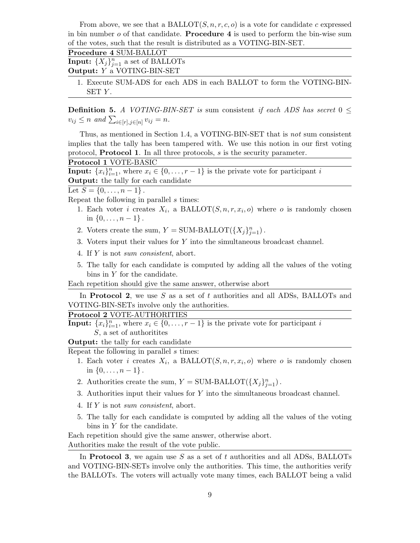From above, we see that a BALLOT $(S, n, r, c, o)$  is a vote for candidate c expressed in bin number  $o$  of that candidate. **Procedure 4** is used to perform the bin-wise sum of the votes, such that the result is distributed as a VOTING-BIN-SET.

| Procedure 4 SUM-BALLOT                                                 |
|------------------------------------------------------------------------|
| <b>Input:</b> $\{X_j\}_{j=1}^n$ a set of BALLOTs                       |
| <b>Output:</b> Y a VOTING-BIN-SET                                      |
| 1. Execute SUM-ADS for each ADS in each BALLOT to form the VOTING-BIN- |

SET Y.

**Definition 5.** A VOTING-BIN-SET is sum consistent if each ADS has secret  $0 \leq$  $v_{ij} \leq n$  and  $\sum_{i \in [r], j \in [n]} v_{ij} = n$ .

Thus, as mentioned in Section 1.4, a VOTING-BIN-SET that is not sum consistent implies that the tally has been tampered with. We use this notion in our first voting protocol, Protocol 1. In all three protocols, s is the security parameter.

Protocol 1 VOTE-BASIC

**Input:**  ${x_i}_{i=1}^n$ , where  $x_i \in \{0, \ldots, r-1\}$  is the private vote for participant i Output: the tally for each candidate

Let  $S = \{0, \ldots, n-1\}$ .

Repeat the following in parallel s times:

- 1. Each voter *i* creates  $X_i$ , a BALLOT $(S, n, r, x_i, o)$  where *o* is randomly chosen in  $\{0, \ldots, n-1\}$ .
- 2. Voters create the sum,  $Y = \text{SUM-BALLOT}(\{X_j\}_{j=1}^n)$ .
- 3. Voters input their values for Y into the simultaneous broadcast channel.
- 4. If Y is not sum consistent, abort.
- 5. The tally for each candidate is computed by adding all the values of the voting bins in Y for the candidate.

Each repetition should give the same answer, otherwise abort

In **Protocol 2**, we use S as a set of t authorities and all ADSs, BALLOTs and VOTING-BIN-SETs involve only the authorities.

#### Protocol 2 VOTE-AUTHORITIES

**Input:**  $\{x_i\}_{i=1}^n$ , where  $x_i \in \{0, \ldots, r-1\}$  is the private vote for participant i S, a set of authoritites

**Output:** the tally for each candidate

Repeat the following in parallel s times:

- 1. Each voter *i* creates  $X_i$ , a BALLOT $(S, n, r, x_i, o)$  where *o* is randomly chosen in  $\{0, \ldots, n-1\}$ .
- 2. Authorities create the sum,  $Y = \text{SUM-BALLOT}(\{X_j\}_{j=1}^n)$ .
- 3. Authorities input their values for Y into the simultaneous broadcast channel.
- 4. If Y is not sum consistent, abort.
- 5. The tally for each candidate is computed by adding all the values of the voting bins in Y for the candidate.

Each repetition should give the same answer, otherwise abort. Authorities make the result of the vote public.

In Protocol 3, we again use  $S$  as a set of t authorities and all ADSs, BALLOTs and VOTING-BIN-SETs involve only the authorities. This time, the authorities verify the BALLOTs. The voters will actually vote many times, each BALLOT being a valid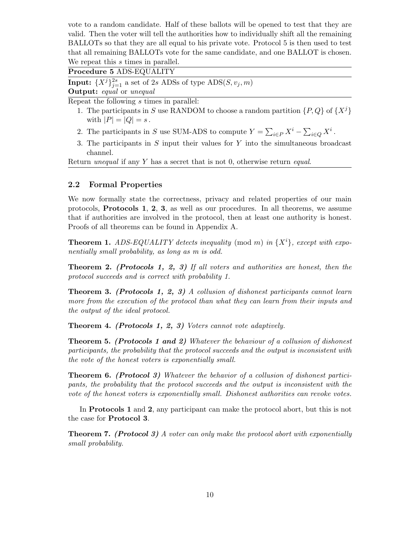vote to a random candidate. Half of these ballots will be opened to test that they are valid. Then the voter will tell the authorities how to individually shift all the remaining BALLOTs so that they are all equal to his private vote. Protocol 5 is then used to test that all remaining BALLOTs vote for the same candidate, and one BALLOT is chosen. We repeat this s times in parallel.

Procedure 5 ADS-EQUALITY

**Input:**  $\{X^j\}_{j=1}^{2s}$  a set of 2s ADSs of type  $\text{ADS}(S, v_j, m)$ 

**Output:** equal or unequal

Repeat the following s times in parallel:

- 1. The participants in S use RANDOM to choose a random partition  $\{P, Q\}$  of  $\{X^j\}$ with  $|P| = |Q| = s$ .
- 2. The participants in S use SUM-ADS to compute  $Y = \sum_{i \in P} X^i \sum_{i \in Q} X^i$ .
- 3. The participants in S input their values for Y into the simultaneous broadcast channel.

Return unequal if any Y has a secret that is not 0, otherwise return equal.

#### 2.2 Formal Properties

We now formally state the correctness, privacy and related properties of our main protocols, Protocols 1, 2, 3, as well as our procedures. In all theorems, we assume that if authorities are involved in the protocol, then at least one authority is honest. Proofs of all theorems can be found in Appendix A.

**Theorem 1.** ADS-EQUALITY detects inequality (mod m) in  $\{X^i\}$ , except with exponentially small probability, as long as m is odd.

Theorem 2. (Protocols 1, 2, 3) If all voters and authorities are honest, then the protocol succeeds and is correct with probability 1.

**Theorem 3.** (Protocols 1, 2, 3) A collusion of dishonest participants cannot learn more from the execution of the protocol than what they can learn from their inputs and the output of the ideal protocol.

Theorem 4. (Protocols 1, 2, 3) Voters cannot vote adaptively.

Theorem 5. (Protocols 1 and 2) Whatever the behaviour of a collusion of dishonest participants, the probability that the protocol succeeds and the output is inconsistent with the vote of the honest voters is exponentially small.

Theorem 6. (Protocol 3) Whatever the behavior of a collusion of dishonest participants, the probability that the protocol succeeds and the output is inconsistent with the vote of the honest voters is exponentially small. Dishonest authorities can revoke votes.

In Protocols 1 and 2, any participant can make the protocol abort, but this is not the case for Protocol 3.

**Theorem 7.** (Protocol 3) A voter can only make the protocol abort with exponentially small probability.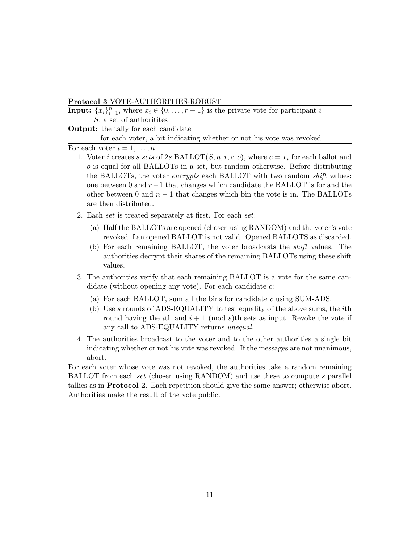#### Protocol 3 VOTE-AUTHORITIES-ROBUST

**Input:**  $\{x_i\}_{i=1}^n$ , where  $x_i \in \{0, \ldots, r-1\}$  is the private vote for participant i S, a set of authorities

**Output:** the tally for each candidate

for each voter, a bit indicating whether or not his vote was revoked

For each voter  $i = 1, \ldots, n$ 

- 1. Voter i creates s sets of 2s BALLOT $(S, n, r, c, o)$ , where  $c = x_i$  for each ballot and o is equal for all BALLOTs in a set, but random otherwise. Before distributing the BALLOTs, the voter *encrypts* each BALLOT with two random *shift* values: one between 0 and  $r-1$  that changes which candidate the BALLOT is for and the other between 0 and  $n-1$  that changes which bin the vote is in. The BALLOTs are then distributed.
- 2. Each set is treated separately at first. For each set:
	- (a) Half the BALLOTs are opened (chosen using RANDOM) and the voter's vote revoked if an opened BALLOT is not valid. Opened BALLOTS as discarded.
	- (b) For each remaining BALLOT, the voter broadcasts the shift values. The authorities decrypt their shares of the remaining BALLOTs using these shift values.
- 3. The authorities verify that each remaining BALLOT is a vote for the same candidate (without opening any vote). For each candidate  $c$ :
	- (a) For each BALLOT, sum all the bins for candidate c using SUM-ADS.
	- (b) Use  $s$  rounds of ADS-EQUALITY to test equality of the above sums, the *i*th round having the *i*th and  $i + 1 \pmod{s}$  sets as input. Revoke the vote if any call to ADS-EQUALITY returns unequal.
- 4. The authorities broadcast to the voter and to the other authorities a single bit indicating whether or not his vote was revoked. If the messages are not unanimous, abort.

For each voter whose vote was not revoked, the authorities take a random remaining BALLOT from each set (chosen using RANDOM) and use these to compute s parallel tallies as in Protocol 2. Each repetition should give the same answer; otherwise abort. Authorities make the result of the vote public.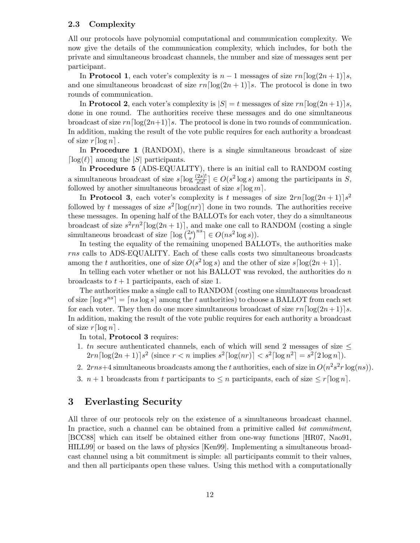#### 2.3 Complexity

All our protocols have polynomial computational and communication complexity. We now give the details of the communication complexity, which includes, for both the private and simultaneous broadcast channels, the number and size of messages sent per participant.

In Protocol 1, each voter's complexity is  $n-1$  messages of size  $rn\lceil \log(2n+1) \rceil s$ , and one simultaneous broadcast of size  $rn\left[\log(2n + 1)\right]$ . The protocol is done in two rounds of communication.

In Protocol 2, each voter's complexity is  $|S| = t$  messages of size  $rn \lceil \log(2n + 1) \rceil s$ , done in one round. The authorities receive these messages and do one simultaneous broadcast of size  $rn\lceil \log(2n+1) \rceil$ s. The protocol is done in two rounds of communication. In addition, making the result of the vote public requires for each authority a broadcast of size  $r\lceil \log n \rceil$ .

In Procedure 1 (RANDOM), there is a single simultaneous broadcast of size  $\lceil \log(\ell) \rceil$  among the  $|S|$  participants.

In Procedure 5 (ADS-EQUALITY), there is an initial call to RANDOM costing a simultaneous broadcast of size  $s\lceil \log \frac{(2s)!}{s!s!} \rceil \in O(s^2 \log s)$  among the participants in S, followed by another simultaneous broadcast of size  $s \lceil \log m \rceil$ .

In Protocol 3, each voter's complexity is t messages of size  $2rn \lceil \log(2n + 1) \rceil s^2$ followed by t messages of size  $s^2$ [log(nr)] done in two rounds. The authorities receive these messages. In opening half of the BALLOTs for each voter, they do a simultaneous broadcast of size  $s^2rn^2\lceil \log(2n+1) \rceil$ , and make one call to RANDOM (costing a single simultaneous broadcast of size  $\lceil \log \rceil_{s}^{2s}$  $\binom{2s}{s}^{ns} \rceil \in O(ns^2 \log s)).$ 

In testing the equality of the remaining unopened BALLOTs, the authorities make rns calls to ADS-EQUALITY. Each of these calls costs two simultaneous broadcasts among the t authorities, one of size  $O(s^2 \log s)$  and the other of size  $s[\log(2n+1)]$ .

In telling each voter whether or not his BALLOT was revoked, the authorities do  $n$ broadcasts to  $t + 1$  participants, each of size 1.

The authorities make a single call to RANDOM (costing one simultaneous broadcast of size  $\lceil \log s^{ns} \rceil = \lceil ns \log s \rceil$  among the t authorities) to choose a BALLOT from each set for each voter. They then do one more simultaneous broadcast of size  $rn \lceil \log(2n + 1) \rceil s$ . In addition, making the result of the vote public requires for each authority a broadcast of size  $r \lceil \log n \rceil$ .

In total, Protocol 3 requires:

- 1. tn secure authenticated channels, each of which will send 2 messages of size  $\leq$  $2rn \lceil \log(2n+1) \rceil s^2$  (since  $r < n$  implies  $s^2 \lceil \log(nr) \rceil < s^2 \lceil \log n^2 \rceil = s^2 \lceil 2 \log n \rceil$ ).
- 2.  $2rns+4$  simultaneous broadcasts among the t authorities, each of size in  $O(n^2s^2r \log(ns))$ .
- 3.  $n + 1$  broadcasts from t participants to  $\leq n$  participants, each of size  $\leq r \lceil \log n \rceil$ .

### 3 Everlasting Security

All three of our protocols rely on the existence of a simultaneous broadcast channel. In practice, such a channel can be obtained from a primitive called bit commitment, [BCC88] which can itself be obtained either from one-way functions [HR07, Nao91, HILL99] or based on the laws of physics [Ken99]. Implementing a simultaneous broadcast channel using a bit commitment is simple: all participants commit to their values, and then all participants open these values. Using this method with a computationally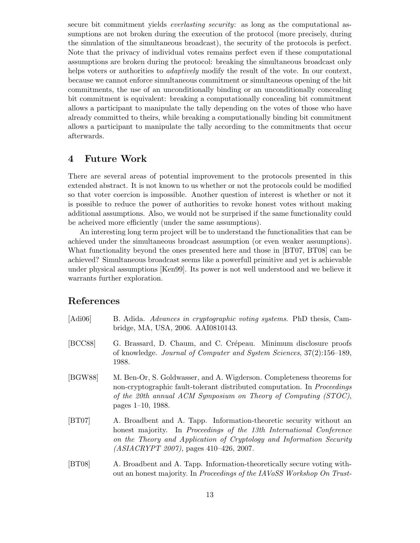secure bit commitment yields everlasting security: as long as the computational assumptions are not broken during the execution of the protocol (more precisely, during the simulation of the simultaneous broadcast), the security of the protocols is perfect. Note that the privacy of individual votes remains perfect even if these computational assumptions are broken during the protocol: breaking the simultaneous broadcast only helps voters or authorities to *adaptively* modify the result of the vote. In our context, because we cannot enforce simultaneous commitment or simultaneous opening of the bit commitments, the use of an unconditionally binding or an unconditionally concealing bit commitment is equivalent: breaking a computationally concealing bit commitment allows a participant to manipulate the tally depending on the votes of those who have already committed to theirs, while breaking a computationally binding bit commitment allows a participant to manipulate the tally according to the commitments that occur afterwards.

### 4 Future Work

There are several areas of potential improvement to the protocols presented in this extended abstract. It is not known to us whether or not the protocols could be modified so that voter coercion is impossible. Another question of interest is whether or not it is possible to reduce the power of authorities to revoke honest votes without making additional assumptions. Also, we would not be surprised if the same functionality could be acheived more efficiently (under the same assumptions).

An interesting long term project will be to understand the functionalities that can be achieved under the simultaneous broadcast assumption (or even weaker assumptions). What functionality beyond the ones presented here and those in [BT07, BT08] can be achieved? Simultaneous broadcast seems like a powerfull primitive and yet is achievable under physical assumptions [Ken99]. Its power is not well understood and we believe it warrants further exploration.

### References

| [Adi06] | B. Adida. Advances in cryptographic voting systems. PhD thesis, Cam-<br>bridge, MA, USA, 2006. AAI0810143.                                                                                                                                                       |
|---------|------------------------------------------------------------------------------------------------------------------------------------------------------------------------------------------------------------------------------------------------------------------|
| [BCC88] | G. Brassard, D. Chaum, and C. Crépeau. Minimum disclosure proofs<br>of knowledge. Journal of Computer and System Sciences, 37(2):156–189,<br>1988.                                                                                                               |
| [BGW88] | M. Ben-Or, S. Goldwasser, and A. Wigderson. Completeness theorems for<br>non-cryptographic fault-tolerant distributed computation. In <i>Proceedings</i><br>of the 20th annual ACM Symposium on Theory of Computing $(TOC)$ ,<br>pages $1-10$ , 1988.            |
| [BT07]  | A. Broadbent and A. Tapp. Information-theoretic security without an<br>honest majority. In Proceedings of the 13th International Conference<br>on the Theory and Application of Cryptology and Information Security<br>$(ASIACRYPT 2007)$ , pages 410-426, 2007. |
| [BT08]  | A. Broadbent and A. Tapp. Information-theoretically secure voting with-<br>out an honest majority. In Proceedings of the IAVoSS Workshop On Trust-                                                                                                               |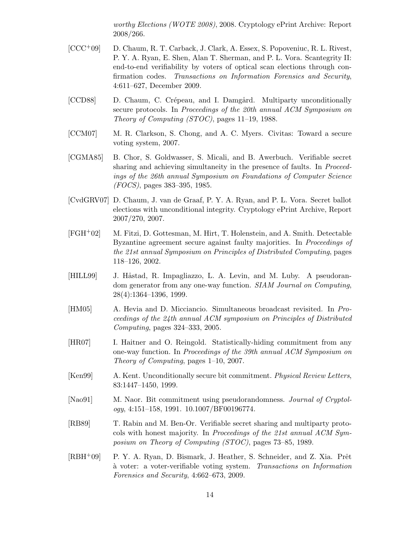worthy Elections (WOTE 2008), 2008. Cryptology ePrint Archive: Report 2008/266.

- [CCC+09] D. Chaum, R. T. Carback, J. Clark, A. Essex, S. Popoveniuc, R. L. Rivest, P. Y. A. Ryan, E. Shen, Alan T. Sherman, and P. L. Vora. Scantegrity II: end-to-end verifiability by voters of optical scan elections through confirmation codes. Transactions on Information Forensics and Security, 4:611–627, December 2009.
- [CCD88] D. Chaum, C. Crépeau, and I. Damgård. Multiparty unconditionally secure protocols. In Proceedings of the 20th annual ACM Symposium on Theory of Computing (STOC), pages 11–19, 1988.
- [CCM07] M. R. Clarkson, S. Chong, and A. C. Myers. Civitas: Toward a secure voting system, 2007.
- [CGMA85] B. Chor, S. Goldwasser, S. Micali, and B. Awerbuch. Verifiable secret sharing and achieving simultaneity in the presence of faults. In *Proceed*ings of the 26th annual Symposium on Foundations of Computer Science (FOCS), pages 383–395, 1985.
- [CvdGRV07] D. Chaum, J. van de Graaf, P. Y. A. Ryan, and P. L. Vora. Secret ballot elections with unconditional integrity. Cryptology ePrint Archive, Report 2007/270, 2007.
- [FGH+02] M. Fitzi, D. Gottesman, M. Hirt, T. Holenstein, and A. Smith. Detectable Byzantine agreement secure against faulty majorities. In Proceedings of the 21st annual Symposium on Principles of Distributed Computing, pages 118–126, 2002.
- [HILL99] J. Håstad, R. Impagliazzo, L. A. Levin, and M. Luby. A pseudorandom generator from any one-way function. SIAM Journal on Computing, 28(4):1364–1396, 1999.
- [HM05] A. Hevia and D. Micciancio. Simultaneous broadcast revisited. In Proceedings of the 24th annual ACM symposium on Principles of Distributed Computing, pages 324–333, 2005.
- [HR07] I. Haitner and O. Reingold. Statistically-hiding commitment from any one-way function. In Proceedings of the 39th annual ACM Symposium on Theory of Computing, pages 1–10, 2007.
- [Ken99] A. Kent. Unconditionally secure bit commitment. Physical Review Letters, 83:1447–1450, 1999.
- [Nao91] M. Naor. Bit commitment using pseudorandomness. *Journal of Cryptol*ogy, 4:151–158, 1991. 10.1007/BF00196774.
- [RB89] T. Rabin and M. Ben-Or. Verifiable secret sharing and multiparty protocols with honest majority. In Proceedings of the 21st annual ACM Symposium on Theory of Computing (STOC), pages 73–85, 1989.
- [RBH<sup>+</sup>09] P. Y. A. Ryan, D. Bismark, J. Heather, S. Schneider, and Z. Xia. Prêt `a voter: a voter-verifiable voting system. Transactions on Information Forensics and Security, 4:662–673, 2009.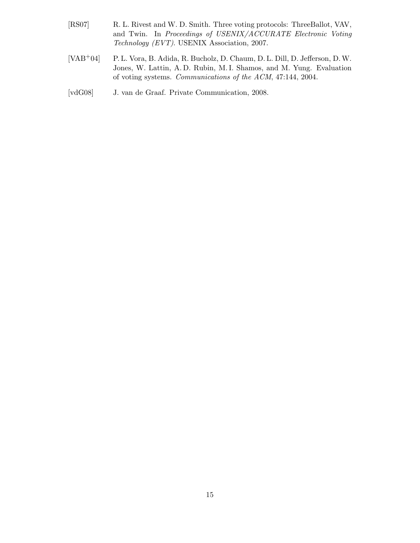- [RS07] R. L. Rivest and W. D. Smith. Three voting protocols: ThreeBallot, VAV, and Twin. In Proceedings of USENIX/ACCURATE Electronic Voting Technology (EVT). USENIX Association, 2007.
- [VAB+04] P. L. Vora, B. Adida, R. Bucholz, D. Chaum, D. L. Dill, D. Jefferson, D.W. Jones, W. Lattin, A. D. Rubin, M. I. Shamos, and M. Yung. Evaluation of voting systems. Communications of the ACM, 47:144, 2004.
- [vdG08] J. van de Graaf. Private Communication, 2008.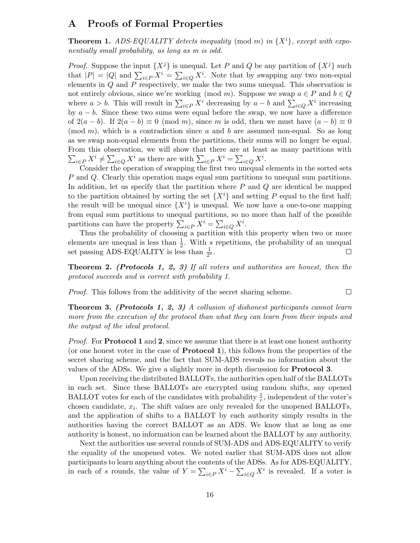### A Proofs of Formal Properties

**Theorem 1.** ADS-EQUALITY detects inequality (mod m) in  $\{X^i\}$ , except with exponentially small probability, as long as m is odd.

*Proof.* Suppose the input  $\{X^j\}$  is unequal. Let P and Q be any partition of  $\{X^j\}$  such that  $|P| = |Q|$  and  $\sum_{i \in P} X^i = \sum_{i \in Q} X^i$ . Note that by swapping any two non-equal elements in Q and P respectively, we make the two sums unequal. This observation is not entirely obvious, since we're working (mod m). Suppose we swap  $a \in P$  and  $b \in Q$ where  $a > b$ . This will result in  $\sum_{i \in P} X^i$  decreasing by  $a - b$  and  $\sum_{i \in Q} X^i$  increasing by  $a - b$ . Since these two sums were equal before the swap, we now have a difference of  $2(a - b)$ . If  $2(a - b) \equiv 0 \pmod{m}$ , since m is odd, then we must have  $(a - b) \equiv 0$ (mod m), which is a contradiction since a and b are assumed non-equal. So as long as we swap non-equal elements from the partitions, their sums will no longer be equal. From this observation, we will show that there are at least as many partitions with  $\sum_{i\in P} X^i \neq \sum_{i\in Q} X^i$  as there are with  $\sum_{i\in P} X^i = \sum_{i\in Q} X^i$ .

Consider the operation of swapping the first two unequal elements in the sorted sets P and Q. Clearly this operation maps equal sum partitions to unequal sum partitions. In addition, let us specify that the partition where  $P$  and  $Q$  are identical be mapped to the partition obtained by sorting the set  $\{X^i\}$  and setting P equal to the first half; the result will be unequal since  $\{X^i\}$  is unequal. We now have a one-to-one mapping from equal sum partitions to unequal partitions, so no more than half of the possible partitions can have the property  $\sum_{i \in P} X^i = \sum_{i \in Q} X^i$ .

Thus the probability of choosing a partition with this property when two or more elements are unequal is less than  $\frac{1}{2}$ . With s repetitions, the probability of an unequal set passing ADS-EQUALITY is less than  $\frac{1}{2^s}$ .  $\Box$ 

Theorem 2. (Protocols 1, 2, 3) If all voters and authorities are honest, then the protocol succeeds and is correct with probability 1.

 $\Box$ 

Proof. This follows from the additivity of the secret sharing scheme.

Theorem 3. (Protocols 1, 2, 3) A collusion of dishonest participants cannot learn more from the execution of the protocol than what they can learn from their inputs and the output of the ideal protocol.

*Proof.* For **Protocol 1** and 2, since we assume that there is at least one honest authority (or one honest voter in the case of Protocol 1), this follows from the properties of the secret sharing scheme, and the fact that SUM-ADS reveals no information about the values of the ADSs. We give a slightly more in depth discussion for Protocol 3.

Upon receiving the distributed BALLOTs, the authorities open half of the BALLOTs in each set. Since these BALLOTs are encrypted using random shifts, any opened BALLOT votes for each of the candidates with probability  $\frac{1}{r}$ , independent of the voter's chosen candidate,  $x_i$ . The shift values are only revealed for the unopened BALLOTs, and the application of shifts to a BALLOT by each authority simply results in the authorities having the correct BALLOT as an ADS. We know that as long as one authority is honest, no information can be learned about the BALLOT by any authority.

Next the authorities use several rounds of SUM-ADS and ADS-EQUALITY to verify the equality of the unopened votes. We noted earlier that SUM-ADS does not allow participants to learn anything about the contents of the ADSs. As for ADS-EQUALITY, in each of s rounds, the value of  $Y = \sum_{i \in P} X^i - \sum_{i \in Q} X^i$  is revealed. If a voter is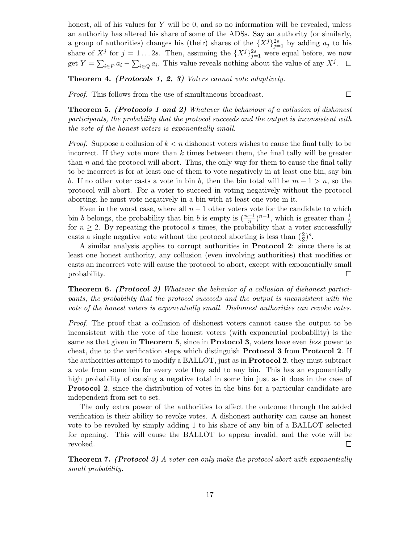honest, all of his values for  $Y$  will be 0, and so no information will be revealed, unless an authority has altered his share of some of the ADSs. Say an authority (or similarly, a group of authorities) changes his (their) shares of the  ${X<sup>j</sup>}_{j=1}^{2s}$  by adding  $a_j$  to his share of  $X^j$  for  $j = 1...2s$ . Then, assuming the  ${X^j}_{j=1}^{2s}$  were equal before, we now get  $Y = \sum_{i \in P} a_i - \sum_{i \in Q} a_i$ . This value reveals nothing about the value of any  $X^j$ .

Theorem 4. (Protocols 1, 2, 3) Voters cannot vote adaptively.

Proof. This follows from the use of simultaneous broadcast.

Theorem 5. (Protocols 1 and 2) Whatever the behaviour of a collusion of dishonest participants, the probability that the protocol succeeds and the output is inconsistent with the vote of the honest voters is exponentially small.

 $\Box$ 

*Proof.* Suppose a collusion of  $k < n$  dishonest voters wishes to cause the final tally to be incorrect. If they vote more than  $k$  times between them, the final tally will be greater than  $n$  and the protocol will abort. Thus, the only way for them to cause the final tally to be incorrect is for at least one of them to vote negatively in at least one bin, say bin b. If no other voter casts a vote in bin b, then the bin total will be  $m - 1 > n$ , so the protocol will abort. For a voter to succeed in voting negatively without the protocol aborting, he must vote negatively in a bin with at least one vote in it.

Even in the worst case, where all  $n - 1$  other voters vote for the candidate to which bin b belongs, the probability that bin b is empty is  $(\frac{n-1}{n})^{n-1}$ , which is greater than  $\frac{1}{3}$ for  $n \geq 2$ . By repeating the protocol s times, the probability that a voter successfully casts a single negative vote without the protocol aborting is less than  $(\frac{2}{3})^s$ .

A similar analysis applies to corrupt authorities in Protocol 2: since there is at least one honest authority, any collusion (even involving authorities) that modifies or casts an incorrect vote will cause the protocol to abort, except with exponentially small probability.  $\Box$ 

Theorem 6. (Protocol 3) Whatever the behavior of a collusion of dishonest participants, the probability that the protocol succeeds and the output is inconsistent with the vote of the honest voters is exponentially small. Dishonest authorities can revoke votes.

Proof. The proof that a collusion of dishonest voters cannot cause the output to be inconsistent with the vote of the honest voters (with exponential probability) is the same as that given in Theorem 5, since in Protocol 3, voters have even less power to cheat, due to the verification steps which distinguish Protocol 3 from Protocol 2. If the authorities attempt to modify a BALLOT, just as in Protocol 2, they must subtract a vote from some bin for every vote they add to any bin. This has an exponentially high probability of causing a negative total in some bin just as it does in the case of Protocol 2, since the distribution of votes in the bins for a particular candidate are independent from set to set.

The only extra power of the authorities to affect the outcome through the added verification is their ability to revoke votes. A dishonest authority can cause an honest vote to be revoked by simply adding 1 to his share of any bin of a BALLOT selected for opening. This will cause the BALLOT to appear invalid, and the vote will be revoked.  $\Box$ 

Theorem 7. (Protocol 3) A voter can only make the protocol abort with exponentially small probability.